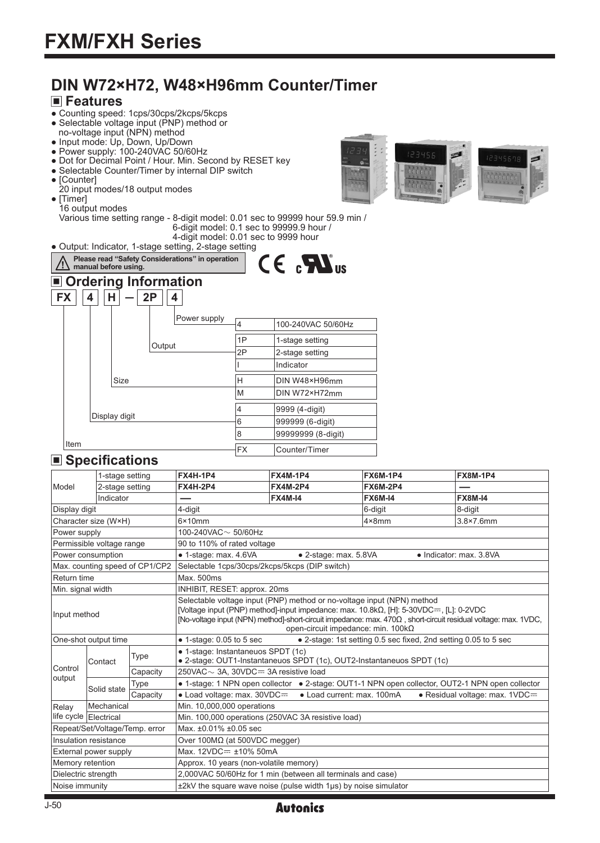# **DIN W72×H72, W48×H96mm Counter/Timer**

### **Features**

- Counting speed: 1cps/30cps/2kcps/5kcps
- Selectable voltage input (PNP) method or
- no-voltage input (NPN) method ● Input mode: Up, Down, Up/Down
- $\bullet$  Power supply: 100-240VAC 50/60Hz
- Dot for Decimal Point / Hour. Min. Second by RESET key
- Selectable Counter/Timer by internal DIP switch
- [Counter]
- 20 input modes/18 output modes
- [Timer]
- 16 output modes

Various time setting range - 8-digit model: 0.01 sec to 99999 hour 59.9 min / 6-digit model: 0.1 sec to 99999.9 hour / 4-digit model: 0.01 sec to 9999 hour

● Output: Indicator, 1-stage setting, 2-stage setting



### **Specifications**

|                       |                                      | <b>FX4H-1P4</b>                                                                                                                                                                                                                | <b>FX4M-1P4</b> | <b>FX6M-1P4</b>                                                                                                                                                                                                                              | <b>FX8M-1P4</b>                                                                                                                                                                                                                                                                                                                                                                                                                                                                           |  |
|-----------------------|--------------------------------------|--------------------------------------------------------------------------------------------------------------------------------------------------------------------------------------------------------------------------------|-----------------|----------------------------------------------------------------------------------------------------------------------------------------------------------------------------------------------------------------------------------------------|-------------------------------------------------------------------------------------------------------------------------------------------------------------------------------------------------------------------------------------------------------------------------------------------------------------------------------------------------------------------------------------------------------------------------------------------------------------------------------------------|--|
|                       |                                      | <b>FX4H-2P4</b>                                                                                                                                                                                                                | <b>FX4M-2P4</b> | <b>FX6M-2P4</b>                                                                                                                                                                                                                              |                                                                                                                                                                                                                                                                                                                                                                                                                                                                                           |  |
|                       |                                      |                                                                                                                                                                                                                                | <b>FX4M-14</b>  | <b>FX6M-I4</b>                                                                                                                                                                                                                               | <b>FX8M-I4</b>                                                                                                                                                                                                                                                                                                                                                                                                                                                                            |  |
| Display digit         |                                      | 4-digit                                                                                                                                                                                                                        |                 | 6-digit                                                                                                                                                                                                                                      | 8-digit                                                                                                                                                                                                                                                                                                                                                                                                                                                                                   |  |
| Character size (W×H)  |                                      | 3.8×7.6mm<br>$4 \times 8$ mm                                                                                                                                                                                                   |                 |                                                                                                                                                                                                                                              |                                                                                                                                                                                                                                                                                                                                                                                                                                                                                           |  |
| Power supply          |                                      | 100-240VAC $\sim$ 50/60Hz                                                                                                                                                                                                      |                 |                                                                                                                                                                                                                                              |                                                                                                                                                                                                                                                                                                                                                                                                                                                                                           |  |
|                       |                                      |                                                                                                                                                                                                                                |                 |                                                                                                                                                                                                                                              |                                                                                                                                                                                                                                                                                                                                                                                                                                                                                           |  |
| Power consumption     |                                      | · 1-stage: max. 4.6VA                                                                                                                                                                                                          |                 |                                                                                                                                                                                                                                              | • Indicator: max. 3.8VA                                                                                                                                                                                                                                                                                                                                                                                                                                                                   |  |
|                       |                                      |                                                                                                                                                                                                                                |                 |                                                                                                                                                                                                                                              |                                                                                                                                                                                                                                                                                                                                                                                                                                                                                           |  |
| Return time           |                                      | Max. 500ms                                                                                                                                                                                                                     |                 |                                                                                                                                                                                                                                              |                                                                                                                                                                                                                                                                                                                                                                                                                                                                                           |  |
| Min. signal width     |                                      |                                                                                                                                                                                                                                |                 |                                                                                                                                                                                                                                              |                                                                                                                                                                                                                                                                                                                                                                                                                                                                                           |  |
| Input method          |                                      | [Voltage input (PNP) method]-input impedance: max. $10.8k\Omega$ , [H]: $5-30VDC =$ , [L]: $0-2VDC$<br>[No-voltage input (NPN) method]-short-circuit impedance: max. 470 $\Omega$ , short-circuit residual voltage: max. 1VDC, |                 |                                                                                                                                                                                                                                              |                                                                                                                                                                                                                                                                                                                                                                                                                                                                                           |  |
| One-shot output time  |                                      | $\bullet$ 1-stage: 0.05 to 5 sec<br>• 2-stage: 1st setting 0.5 sec fixed, 2nd setting 0.05 to 5 sec                                                                                                                            |                 |                                                                                                                                                                                                                                              |                                                                                                                                                                                                                                                                                                                                                                                                                                                                                           |  |
| Contact               | Type                                 |                                                                                                                                                                                                                                |                 |                                                                                                                                                                                                                                              |                                                                                                                                                                                                                                                                                                                                                                                                                                                                                           |  |
|                       | Capacity                             |                                                                                                                                                                                                                                |                 |                                                                                                                                                                                                                                              |                                                                                                                                                                                                                                                                                                                                                                                                                                                                                           |  |
|                       | Type                                 |                                                                                                                                                                                                                                |                 |                                                                                                                                                                                                                                              |                                                                                                                                                                                                                                                                                                                                                                                                                                                                                           |  |
|                       | Capacity                             |                                                                                                                                                                                                                                |                 |                                                                                                                                                                                                                                              | · Residual voltage: max. 1VDC=                                                                                                                                                                                                                                                                                                                                                                                                                                                            |  |
|                       |                                      | Min. 10,000,000 operations                                                                                                                                                                                                     |                 |                                                                                                                                                                                                                                              |                                                                                                                                                                                                                                                                                                                                                                                                                                                                                           |  |
|                       |                                      | Min. 100,000 operations (250VAC 3A resistive load)                                                                                                                                                                             |                 |                                                                                                                                                                                                                                              |                                                                                                                                                                                                                                                                                                                                                                                                                                                                                           |  |
|                       |                                      | Max. ±0.01% ±0.05 sec                                                                                                                                                                                                          |                 |                                                                                                                                                                                                                                              |                                                                                                                                                                                                                                                                                                                                                                                                                                                                                           |  |
| Insulation resistance |                                      | Over $100MΩ$ (at 500VDC megger)                                                                                                                                                                                                |                 |                                                                                                                                                                                                                                              |                                                                                                                                                                                                                                                                                                                                                                                                                                                                                           |  |
|                       |                                      | Max. 12VDC= ±10% 50mA                                                                                                                                                                                                          |                 |                                                                                                                                                                                                                                              |                                                                                                                                                                                                                                                                                                                                                                                                                                                                                           |  |
| Memory retention      |                                      | Approx. 10 years (non-volatile memory)                                                                                                                                                                                         |                 |                                                                                                                                                                                                                                              |                                                                                                                                                                                                                                                                                                                                                                                                                                                                                           |  |
| Dielectric strength   |                                      |                                                                                                                                                                                                                                |                 |                                                                                                                                                                                                                                              |                                                                                                                                                                                                                                                                                                                                                                                                                                                                                           |  |
| Noise immunity        |                                      |                                                                                                                                                                                                                                |                 |                                                                                                                                                                                                                                              |                                                                                                                                                                                                                                                                                                                                                                                                                                                                                           |  |
|                       | Solid state<br>life cycle Electrical | $\Box$ opcomoanons<br>1-stage setting<br>2-stage setting<br>Indicator<br>Permissible voltage range<br>Max. counting speed of CP1/CP2<br>Mechanical<br>Repeat/Set/Voltage/Temp. error<br>External power supply                  | $6\times10$ mm  | 90 to 110% of rated voltage<br>Selectable 1cps/30cps/2kcps/5kcps (DIP switch)<br>INHIBIT, RESET: approx. 20ms<br>· 1-stage: Instantaneuos SPDT (1c)<br>250VAC $\sim$ 3A, 30VDC $=$ 3A resistive load<br>$\bullet$ Load voltage: max. 30VDC== | • 2-stage: max. 5.8VA<br>Selectable voltage input (PNP) method or no-voltage input (NPN) method<br>open-circuit impedance: min. 100kΩ<br>• 2-stage: OUT1-Instantaneuos SPDT (1c), OUT2-Instantaneuos SPDT (1c)<br>• 1-stage: 1 NPN open collector • 2-stage: OUT1-1 NPN open collector, OUT2-1 NPN open collector<br>• Load current: max. 100mA<br>2,000VAC 50/60Hz for 1 min (between all terminals and case)<br>$±2kV$ the square wave noise (pulse width 1 $\mu$ s) by noise simulator |  |

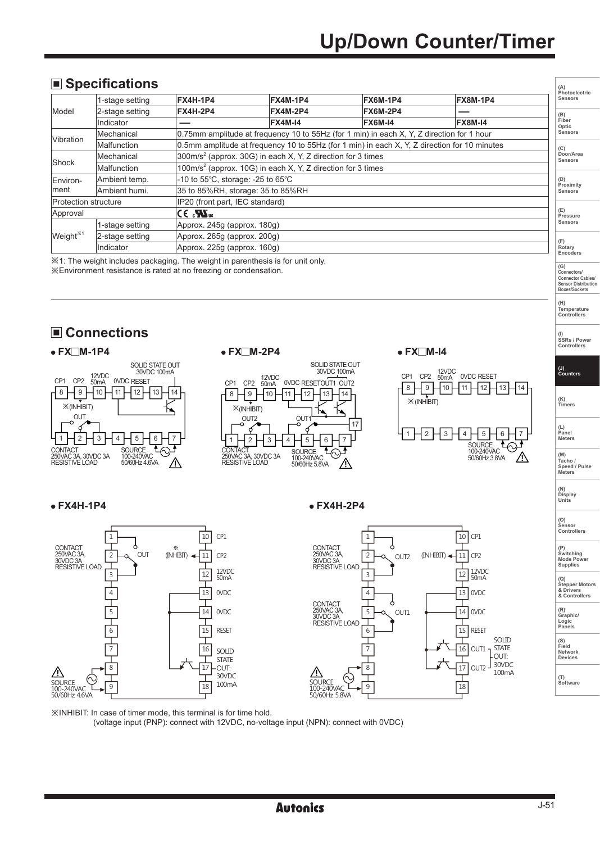## **Specifications**

| $\Box$ opcomounding                                                                               |                 |                                                                                    |                                                                                                |                 |                 | (A)<br>Photoelectric |                      |
|---------------------------------------------------------------------------------------------------|-----------------|------------------------------------------------------------------------------------|------------------------------------------------------------------------------------------------|-----------------|-----------------|----------------------|----------------------|
|                                                                                                   | 1-stage setting | <b>FX4H-1P4</b>                                                                    | <b>FX4M-1P4</b>                                                                                | <b>FX6M-1P4</b> | <b>FX8M-1P4</b> |                      | Sensors              |
| Model                                                                                             | 2-stage setting | FX4H-2P4                                                                           | <b>FX4M-2P4</b>                                                                                | <b>FX6M-2P4</b> |                 |                      | (B)                  |
|                                                                                                   | Indicator       |                                                                                    | <b>FX4M-14</b>                                                                                 | <b>FX6M-14</b>  | <b>FX8M-14</b>  |                      | Fiber<br>Optic       |
|                                                                                                   | Mechanical      |                                                                                    | 0.75mm amplitude at frequency 10 to 55Hz (for 1 min) in each X, Y, Z direction for 1 hour      |                 |                 |                      | Sensors              |
| Vibration                                                                                         | Malfunction     |                                                                                    | 0.5mm amplitude at frequency 10 to 55Hz (for 1 min) in each $X, Y, Z$ direction for 10 minutes |                 |                 |                      | (C)                  |
| $300$ m/s <sup>2</sup> (approx. 30G) in each X, Y, Z direction for 3 times<br>Mechanical<br>Shock |                 |                                                                                    | Door/Area<br>Sensors                                                                           |                 |                 |                      |                      |
|                                                                                                   | Malfunction     | $100$ m/s <sup>2</sup> (approx. 10G) in each X, Y, Z direction for 3 times         |                                                                                                |                 |                 |                      |                      |
| -10 to 55°C, storage: -25 to 65°C<br>Ambient temp.<br>Environ-                                    |                 |                                                                                    |                                                                                                | (D)             |                 |                      |                      |
| lment                                                                                             | Ambient humi.   | 35 to 85%RH, storage: 35 to 85%RH                                                  |                                                                                                |                 |                 |                      | Proximity<br>Sensors |
| <b>Protection structure</b>                                                                       |                 | IP20 (front part, IEC standard)                                                    |                                                                                                |                 |                 |                      |                      |
| Approval                                                                                          |                 | ICE . <b>™</b> us                                                                  |                                                                                                |                 |                 |                      | (E)<br>Pressure      |
|                                                                                                   | 1-stage setting |                                                                                    | Approx. 245q (approx. 180q)                                                                    |                 |                 |                      | Sensors              |
| Weight <sup>*1</sup><br>2-stage setting<br>Approx. 265g (approx. 200g)                            |                 |                                                                                    |                                                                                                |                 |                 |                      |                      |
|                                                                                                   | Indicator       | Approx. 225q (approx. 160q)                                                        |                                                                                                |                 |                 | (F)<br>Rotary        |                      |
|                                                                                                   |                 | NM All TELL としょうかい しゅうしょし はんこうしょうけい こうかい こうていしょう しょうしょうせい こうしょうしょう しょうしょう しょうしょうけい |                                                                                                |                 |                 |                      | Encoders             |

※1: The weight includes packaging. The weight in parenthesis is for unit only. ※Environment resistance is rated at no freezing or condensation.

## **Connections**









**(G) Connectors/ Connector Cables/ Sensor Distribution Boxes/Sockets** 

**(A)** 

**(H) Temperature Controllers**

**(I) SSRs / Power Controllers**

**(M) Tacho / Speed / Pulse Meters** 

**(O) Sensor Controllers** 

**(P) Switching Mode Power Supplies** 

**(Q) Stepper Motors & Drivers & Controllers**

**(R) Graphic/ Logic Panels**

**(S) Field Network Devices**

**(T) Software**

※INHIBIT: In case of timer mode, this terminal is for time hold. (voltage input (PNP): connect with 12VDC, no-voltage input (NPN): connect with 0VDC)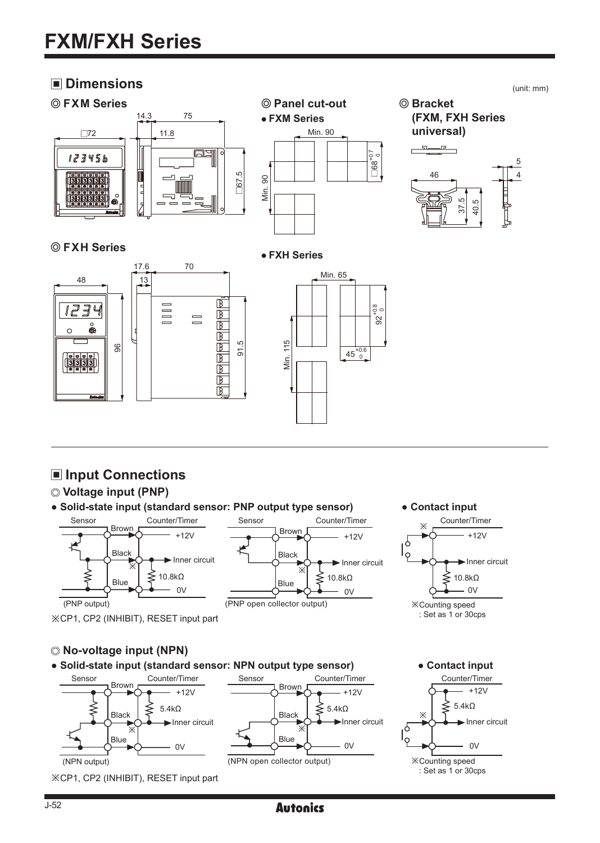## $\blacksquare$  Dimensions (unit: mm)



### **FXH Series**

#### **FXH Series**





Counter/Timer

## **Input Connections**

#### **Voltage input (PNP)**

**● Solid-state input (standard sensor: PNP output type sensor)**



※CP1, CP2 (INHIBIT), RESET input part

※  $+12V$   $+12V$ Inner circuit 10.8kΩ  $\Big|$ <sub>Dlue</sub>  $\Big|$   $\leq$  10.8kΩ <sup>0V</sup> <del>− ○ ○ ▷ ○</del> <sup>ov</sup> (PNP output) (PNP open collector output)





4 5

# **No-voltage input (NPN)**

**● Solid-state input (standard sensor: NPN output type sensor)**





J-52

## **Autonics**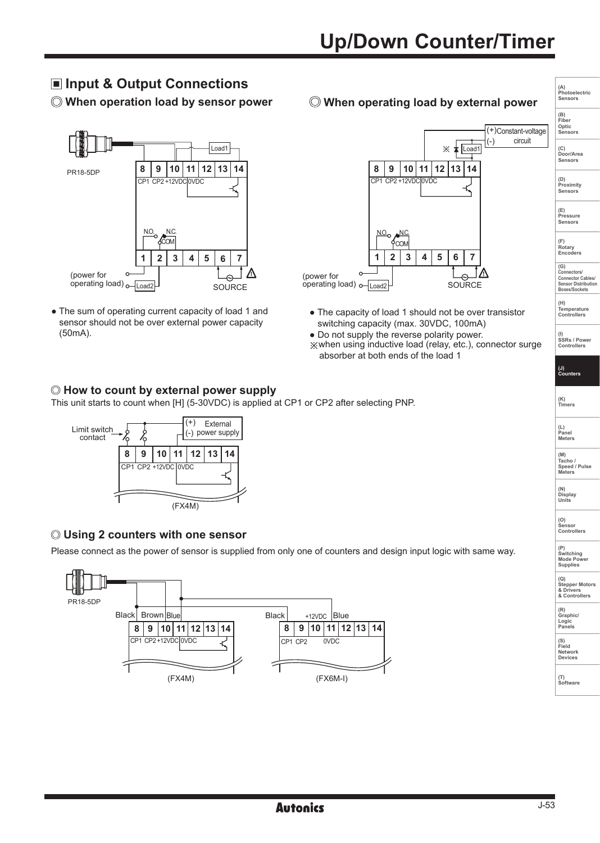## **Input & Output Connections**

 **When operation load by sensor power**



• The sum of operating current capacity of load 1 and sensor should not be over external power capacity (50mA).

 **When operating load by external power**



- The capacity of load 1 should not be over transistor switching capacity (max. 30VDC, 100mA)
- Do not supply the reverse polarity power. ※when using inductive load (relay, etc.), connector surge absorber at both ends of the load 1

#### **How to count by external power supply**

This unit starts to count when [H] (5-30VDC) is applied at CP1 or CP2 after selecting PNP.



#### **Using 2 counters with one sensor**

Please connect as the power of sensor is supplied from only one of counters and design input logic with same way.



**(A) Photoelectric Sensors (B) Fiber**

**Optic Sensors (C) Door/Area Sensors**

**(D) Proximity**

**Sensors** 

**(E) Pressure Sensors** 

**(F) Rotary Encoders** 

**(G) Connectors/ Connector Cables/ Sensor Distribution Boxes/Sockets** 

**(H) Temperature Controllers**

**(I) SSRs / Power Controllers**

**(J) Counters**

**(K) Timers**

**(L) Panel Meters** 

**(M) Tacho / Speed / Pulse Meters** 

**(N) Display Units**

**(O) Sensor Controllers** 

**(P) Switching Mode Power Supplies** 

**(Q) Stepper Motors & Drivers & Controllers**

**(R) Graphic/ Logic Panels**

**(S) Field**

**Network Devices**

**(T) Software**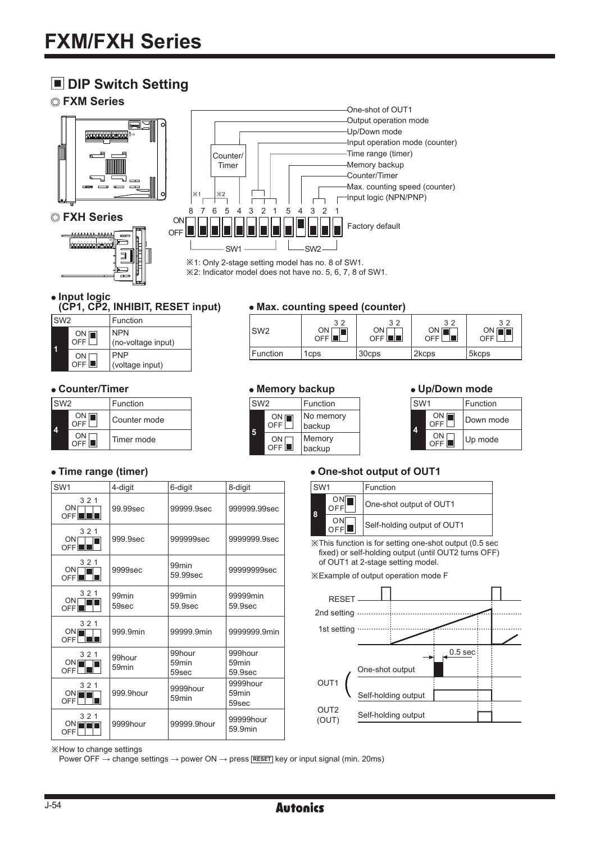## $\blacksquare$  **DIP Switch Setting**

#### **FXM Series**







※1: Only 2-stage setting model has no. 8 of SW1. ※2: Indicator model does not have no. 5, 6, 7, 8 of SW1.

• Input logic<br>(CP1, CP2, INHIBIT, RESET input)

| SW <sub>2</sub> |                  | Function                         |
|-----------------|------------------|----------------------------------|
|                 | ON [<br>OFF      | <b>NPN</b><br>(no-voltage input) |
|                 | ΟN<br><b>OFF</b> | <b>PNP</b><br>(voltage input)    |

| SW <sub>2</sub> |           | Function     |
|-----------------|-----------|--------------|
|                 | ON<br>OFF | Counter mode |
|                 | OFF       | Timer mode   |

### • Max. counting speed (counter)

| SW <sub>2</sub> | 32<br>ON<br><b>OFF</b> | 32<br>ON<br>OFF <b>I</b> | 32<br>ON [<br>Ш<br>OFF | 32<br>ON<br><b>OFF</b> |
|-----------------|------------------------|--------------------------|------------------------|------------------------|
| Function        | 1 <sub>cps</sub>       | 30cps                    | 2kcps                  | 5 <sub>kcps</sub>      |

### **Counter/Timer Up/Down mode Memory backup**

| SW <sub>2</sub> |                   | Function            |
|-----------------|-------------------|---------------------|
| Б               | $\frac{ON}{OFF}$  | No memory<br>backup |
|                 | ON <sub>OFF</sub> | Memory<br>backup    |

| SW <sub>1</sub> |           | Function  |
|-----------------|-----------|-----------|
|                 | ON<br>OFF | Down mode |
|                 | ON<br>OFF | Up mode   |

| SW <sub>1</sub>               | 4-digit                     | 6-digit                       | 8-digit                                 |
|-------------------------------|-----------------------------|-------------------------------|-----------------------------------------|
| 321<br>$ON\Gamma$<br>OFF III  | 99.99sec                    | 99999.9sec                    | 999999.99sec                            |
| 321<br>ON <sub>OFF</sub>      | 999.9sec                    | 999999sec                     | 9999999.9sec                            |
| 321<br>$ON \Gamma$<br>OFFIT   | 9999sec                     | 99 <sub>min</sub><br>59.99sec | 99999999sec                             |
| 321<br>$\frac{ON}{OFF}$       | 99 <sub>min</sub><br>59sec  | 999min<br>59.9sec             | 99999min<br>59.9sec                     |
| 321<br>ON<br>OFF <sup>I</sup> | 999.9min                    | 99999.9min                    | 9999999.9min                            |
| 321<br>$\frac{ON}{OFF}$       | 99hour<br>59 <sub>min</sub> | 99hour<br>59min<br>59sec      | 999hour<br>59 <sub>min</sub><br>59.9sec |
| 321<br>ON<br>OFF              | 999.9hour                   | 9999hour<br>59min             | 9999hour<br>59 <sub>min</sub><br>59sec  |
| 321<br>ONli<br>OFF            | 9999hour                    | 99999.9hour                   | 99999hour<br>59.9min                    |

#### • Time range (timer) **COLOREY 3 CONTENSIST** TIME THE **ONE-Shot output of OUT1**

| SW <sub>1</sub> |            | Function                    |
|-----------------|------------|-----------------------------|
| '8              | ON         | One-shot output of OUT1     |
|                 | ON'<br>OFF | Self-holding output of OUT1 |

※This function is for setting one-shot output (0.5 sec fixed) or self-holding output (until OUT2 turns OFF) of OUT1 at 2-stage setting model.

※Example of output operation mode F



※How to change settings

Power OFF → change settings → power ON → press **RESET** key or input signal (min. 20ms)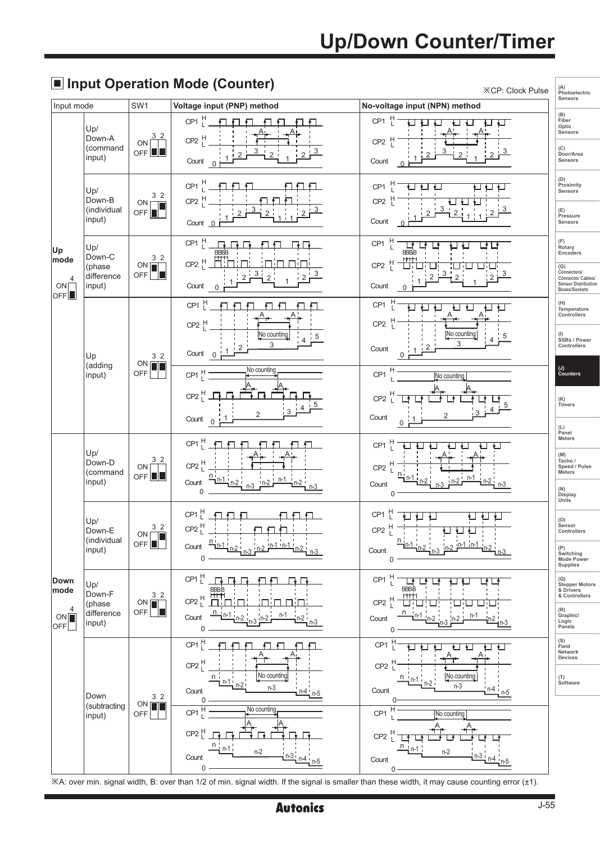# $\blacksquare$  Input Operation Mode (Counter)

| Input mode                           |                                | SW <sub>1</sub>                     | $\Box$ input operation mode (obditter)<br>Voltage input (PNP) method                                                                                 | <b>※CP: Clock Pulse</b><br>No-voltage input (NPN) method      | (A)<br>Photoelectric<br>Sensors                                                        |
|--------------------------------------|--------------------------------|-------------------------------------|------------------------------------------------------------------------------------------------------------------------------------------------------|---------------------------------------------------------------|----------------------------------------------------------------------------------------|
|                                      | Up/                            |                                     | Ħ<br>CP <sub>1</sub>                                                                                                                                 | $\mathbb H$<br>CP <sub>1</sub>                                | (B)<br>Fiber<br>Optic<br>Sensors                                                       |
|                                      | Down-A<br>(command<br>input)   | 3<br>ON<br>$OFF$ $\blacksquare$     | H<br>CP <sub>2</sub><br>3<br>3<br>2<br>Count<br>$\overline{0}$                                                                                       | $CP2$ H<br>Count                                              | (C)<br>Door/Area<br>Sensors                                                            |
|                                      | Up/<br>Down-B                  | 3 <sub>2</sub><br>ON                | H<br>CP <sub>1</sub><br>H<br>CP <sub>2</sub>                                                                                                         | H<br>CP <sub>1</sub><br>CP <sub>2</sub>                       | (D)<br>Proximity<br>Sensors                                                            |
|                                      | (individual<br>input)          | OFF <sup>I</sup>                    | Count 0                                                                                                                                              | Count                                                         | (E)<br>Pressure<br>Sensors                                                             |
| Up<br>mode                           | Up/<br>Down-C                  | 3 <sub>2</sub>                      | H<br>CP <sub>1</sub><br>BBBE<br>$CP2$ <sup>H</sup>                                                                                                   | H<br>CP <sub>1</sub><br><b>BBE</b><br>H                       | (F)<br>Rotary<br>Encoders                                                              |
| $\overline{4}$<br>ON<br>OFF          | (phase<br>difference<br>input) | ON <sub>I</sub><br>TП<br><b>OFF</b> | 3<br>3<br>$\overline{2}$<br>2<br>$\overline{2}$<br>Count<br>$\Omega$                                                                                 | CP <sub>2</sub><br>3<br>$\overline{2}$<br>2<br>2<br>Count     | (G)<br>Connectors/<br>Connector Cables/<br><b>Sensor Distribution</b><br>Boxes/Sockets |
|                                      |                                |                                     | H.<br>CP <sub>1</sub><br>$CP2$ <sup>H</sup>                                                                                                          | H<br>CP <sub>1</sub><br>븬<br>CP <sub>2</sub>                  | (H)<br>Temperature<br>Controllers                                                      |
|                                      | Up                             | 3 <sub>2</sub>                      | No counting<br>5<br>$\mathsf 3$<br>$\overline{2}$<br>Count<br>$\overline{0}$                                                                         | No counting<br>5<br>3<br>Count<br>0                           | (I)<br>SSRs / Power<br>Controllers                                                     |
|                                      | (adding<br>input)              | ON <sub>I</sub><br>OFF              | No counting<br>H<br>CP <sub>1</sub>                                                                                                                  | Η<br>CP <sub>1</sub><br>No counting                           | (J)<br>Counters                                                                        |
|                                      |                                |                                     | $CP2$ <sup>H</sup><br>2                                                                                                                              | CP <sub>2</sub>                                               | (K)<br>Timers                                                                          |
|                                      |                                |                                     | Count<br>1<br>0 <sub>r</sub>                                                                                                                         | 2<br>Count<br>0                                               | (L)<br>Panel<br>Meters                                                                 |
|                                      | Up/<br>Down-D                  | 3 <sub>2</sub><br>ON <sub>[</sub>   | $CP1$ <sup>H</sup><br>$CP2$ <sup>H</sup>                                                                                                             | CP <sub>1</sub><br>н<br>CP <sub>2</sub>                       | (M)<br>Tacho /<br>Speed / Pulse                                                        |
|                                      | (command<br>input)             | OFF III                             | n<br>n-1<br>Count<br>n-2<br>$n-2$<br>0                                                                                                               | n-1<br>Count<br>0                                             | Meters<br>(N)<br>Display<br>Units                                                      |
|                                      | Up/<br>Down-E                  | 3 <sub>2</sub>                      | Ħ<br>CP <sub>1</sub><br>$CP2$ <sup>H</sup>                                                                                                           | CP <sub>1</sub><br>$CP2$ $\frac{H}{L}$                        | (O)<br>Sensor<br>Controllers                                                           |
|                                      | (individual<br>input)          | <b>ON</b><br>П<br>OFF <sup>I</sup>  | Count<br>0                                                                                                                                           | n<br>Count<br>0                                               | (P)<br>Switching<br>Mode Power<br>Supplies                                             |
| Down<br>mode                         | Up/<br>Down-F                  | 3 <sub>2</sub>                      | CP1 <sup>H</sup><br><b>BBBB</b><br><b>HTH</b>                                                                                                        | н<br>CP <sub>1</sub><br><b>BBBB</b><br>H<br>н                 | (Q)<br>Stepper Motors<br>& Drivers<br>& Controllers                                    |
| 4<br>ON<br>$\overline{\mathsf{OFF}}$ | (phase<br>difference<br>input) | ON [<br>58<br>OFF                   | $CP2$ $L$<br>n<br>n-1<br>n-1<br>Count<br>$n-2$<br>0                                                                                                  | CP <sub>2</sub><br>n-1<br>Count<br>0                          | (R)<br>Graphic/<br>Logic<br>Panels                                                     |
|                                      |                                |                                     | Ţ<br>CP <sub>1</sub><br>ਜ<br>€                                                                                                                       | Ħ<br>CP <sub>1</sub><br>⊾                                     | (S)<br>Field<br>Network<br>Devices                                                     |
|                                      |                                |                                     | $CP2$ <sup>H</sup><br>No counting<br>$n_i$<br>$n-1$<br>$n-2$<br>$n-3$                                                                                | CP2 <sub>1</sub><br>No counting<br>n<br>n-1 i<br>n-2<br>$n-3$ | (T)<br>Software                                                                        |
|                                      | Down<br>(subtracting           | 3 <sub>2</sub><br><b>ON</b>         | Count<br>n-5<br>0<br>No counting<br>CP <sub>1</sub>                                                                                                  | Count<br>CP <sub>1</sub>                                      |                                                                                        |
|                                      | input)                         | OFF                                 | $CP2$ <sup>H</sup>                                                                                                                                   | No counting<br>CP <sub>2</sub>                                |                                                                                        |
|                                      |                                |                                     | n<br>n-1<br>$n-2$<br>n-3<br>Count<br>$n-4$                                                                                                           | $n-2$<br>Count                                                |                                                                                        |
|                                      |                                |                                     | 0<br>XA: over min. signal width, B: over than 1/2 of min. signal width. If the signal is smaller than these width, it may cause counting error (±1). | 0                                                             |                                                                                        |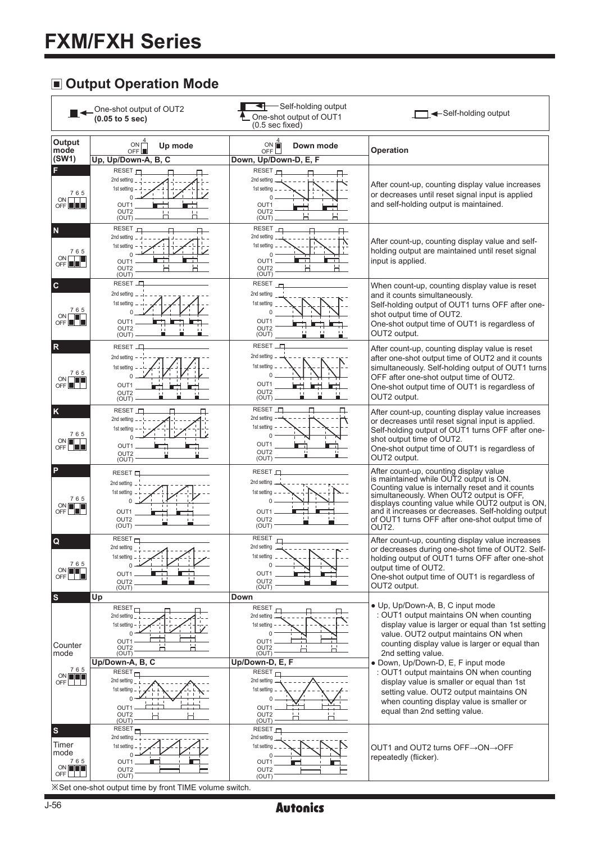## **Output Operation Mode**

|                                                                   | One-shot output of OUT2<br>$(0.05$ to $5$ sec)                                                                | -Self-holding output<br>One-shot output of OUT1<br>$(0.5 \text{ sec fixed})$                                 | ← Self-holding output                                                                                                                                                                                                                                                                                                                                             |
|-------------------------------------------------------------------|---------------------------------------------------------------------------------------------------------------|--------------------------------------------------------------------------------------------------------------|-------------------------------------------------------------------------------------------------------------------------------------------------------------------------------------------------------------------------------------------------------------------------------------------------------------------------------------------------------------------|
| Output<br>mode                                                    | ON <sub>Γ</sub><br>Up mode<br>OFF <sup>L</sup>                                                                | ON <sub>OFF</sub><br>Down mode                                                                               | Operation                                                                                                                                                                                                                                                                                                                                                         |
| (SW1)                                                             | Up, Up/Down-A, B, C                                                                                           | Down, Up/Down-D, E, F                                                                                        |                                                                                                                                                                                                                                                                                                                                                                   |
| F<br>765<br>$ON$ $\Box$<br>OFF <b>IEE</b>                         | RESET $\vdash$<br>2nd setting<br>1st setting<br>OUT <sub>1</sub><br>OUT <sub>2</sub><br>(OUT)                 | RESET $\vdash$<br>2nd setting<br>1st setting<br>OUT1<br>OUT <sub>2</sub><br>(OUT)                            | After count-up, counting display value increases<br>or decreases until reset signal input is applied<br>and self-holding output is maintained.                                                                                                                                                                                                                    |
| N<br>765<br>ON <b>I</b><br>OFF <sup>III</sup>                     | <b>RESET</b><br>2nd setting<br>1st setting<br>$\Omega$<br>OUT1<br>OUT <sub>2</sub><br>(OUT)                   | <b>RESET</b><br>2nd setting<br>1st setting<br>OUT <sub>1</sub><br>OUT <sub>2</sub><br>(OUT)                  | After count-up, counting display value and self-<br>holding output are maintained until reset signal<br>input is applied.                                                                                                                                                                                                                                         |
| c<br>765<br>OFF                                                   | RESET _<br>2nd setting<br>1st setting<br>OUT <sub>1</sub><br>OUT <sub>2</sub><br>(OUT)                        | <b>RESET</b><br>2nd setting<br>1st setting<br>OUT <sub>1</sub><br>OUT <sub>2</sub><br>(OUT)                  | When count-up, counting display value is reset<br>and it counts simultaneously.<br>Self-holding output of OUT1 turns OFF after one-<br>shot output time of OUT2.<br>One-shot output time of OUT1 is regardless of<br>OUT2 output.                                                                                                                                 |
| $\mathbb{R}$<br>765<br>ON <sub>Γ</sub><br>OFF                     | <b>RESET</b><br>2nd setting<br>1st setting<br>OUT1<br>OUT <sub>2</sub><br>(OUT)                               | <b>RESET</b><br>2nd setting<br>1st setting<br>0<br>OUT <sub>1</sub><br>OUT <sub>2</sub><br>(OUT)             | After count-up, counting display value is reset<br>after one-shot output time of OUT2 and it counts<br>simultaneously. Self-holding output of OUT1 turns<br>OFF after one-shot output time of OUT2.<br>One-shot output time of OUT1 is regardless of<br>OUT2 output.                                                                                              |
| K<br>765<br>ON <b>I</b><br>OFF                                    | RESET _<br>2nd setting<br>1st setting<br>U<br>OUT <sub>1</sub><br>OUT <sub>2</sub><br>(OUT)                   | <b>RESET</b><br>п<br>2nd setting<br>1st setting<br>$\Omega$<br>OUT <sub>1</sub><br>OUT <sub>2</sub><br>(OUT) | After count-up, counting display value increases<br>or decreases until reset signal input is applied.<br>Self-holding output of OUT1 turns OFF after one-<br>shot output time of OUT2.<br>One-shot output time of OUT1 is regardless of<br>OUT2 output.                                                                                                           |
| P<br>765<br>ON <b>THE</b><br>OFF $\square$                        | RESET <sub>L</sub><br>2nd setting<br>1st setting<br>$\Omega$<br>OUT <sub>1</sub><br>OUT <sub>2</sub><br>(OUT) | RESET L<br>2nd setting<br>1st setting<br>U<br>OUT1<br>OUT <sub>2</sub><br>(OUT)                              | After count-up, counting display value<br>is maintained while OUT2 output is ON.<br>Counting value is internally reset and it counts<br>simultaneously. When OUT2 output is OFF,<br>displays counting value while OUT2 output is ON,<br>and it increases or decreases. Self-holding output<br>of OUT1 turns OFF after one-shot output time of<br>OUT <sub>2</sub> |
| Q<br>765<br>ON <b>I</b><br>OFF                                    | RESET $\vdash$<br>2nd setting<br>1st setting<br>OUT <sub>1</sub><br>OUT <sub>2</sub><br>(OUT)                 | <b>RESET</b><br>2nd setting<br>1st setting<br>OUT <sub>1</sub><br>OUT <sub>2</sub><br>(OUT)                  | After count-up, counting display value increases<br>or decreases during one-shot time of OUT2. Self-<br>holding output of OUT1 turns OFF after one-shot<br>output time of OUT2.<br>One-shot output time of OUT1 is regardless of<br>OUT2 output.                                                                                                                  |
| s<br>Counter                                                      | Up<br>RESET-<br>2nd setting<br>1st setting<br>$\Omega$<br>OUT <sub>1</sub><br>□                               | Down<br><b>RESET</b><br>2nd setting<br>1st setting<br>$\Omega$<br>OUT1<br>н<br>' '                           | • Up. Up/Down-A, B, C input mode<br>: OUT1 output maintains ON when counting<br>display value is larger or equal than 1st setting<br>value. OUT2 output maintains ON when<br>counting display value is larger or equal than                                                                                                                                       |
| mode                                                              | OUT2<br>(OUT)                                                                                                 | OUT2<br>(OUT)                                                                                                | 2nd setting value.                                                                                                                                                                                                                                                                                                                                                |
| 765<br>$\begin{array}{c} \mathsf{ON} \\ \mathsf{OFF} \end{array}$ | Up/Down-A, B, C<br>REST<br>2nd setting<br>1st setting<br>$\Omega$<br>OUT1<br>OUT <sub>2</sub><br>(OUT)        | Up/Down-D, E, F<br>REST<br>2nd setting<br>1st setting<br>OUT1<br>OUT <sub>2</sub><br>(OUT)                   | · Down, Up/Down-D, E, F input mode<br>: OUT1 output maintains ON when counting<br>display value is smaller or equal than 1st<br>setting value. OUT2 output maintains ON<br>when counting display value is smaller or<br>equal than 2nd setting value.                                                                                                             |
| $\boldsymbol{s}$<br>Timer<br>mode<br>765<br>$\frac{ON}{OFF}$      | RESET <sub>-</sub><br>2nd setting<br>1st setting<br>0<br>OUT1<br>OUT <sub>2</sub><br>(OUT)                    | RESET $\vdash$<br>2nd setting<br>1st setting<br>OUT <sub>1</sub><br>OUT <sub>2</sub><br>(OUT)                | OUT1 and OUT2 turns OFF→ON→OFF<br>repeatedly (flicker).                                                                                                                                                                                                                                                                                                           |

※Set one-shot output time by front TIME volume switch.

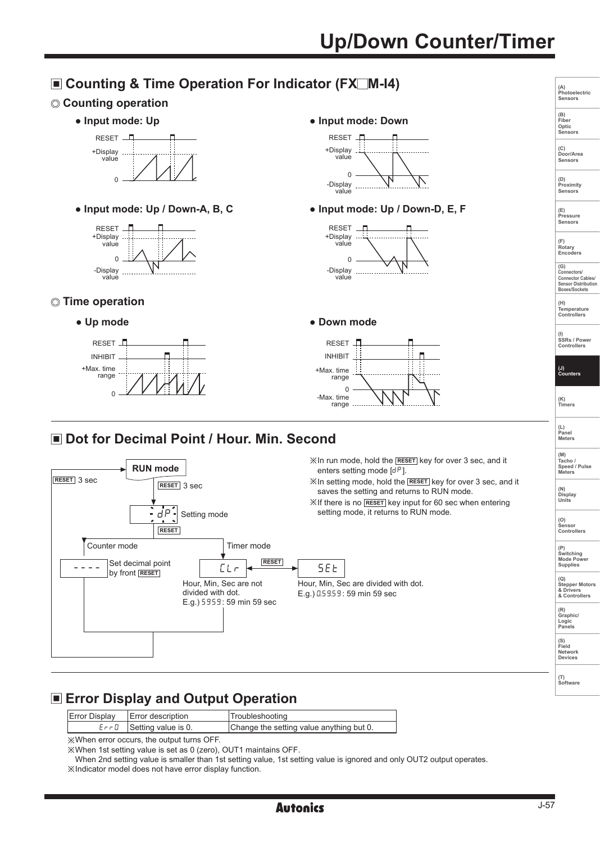# **Up/Down Counter/Timer**



## **Example 2 Error Display and Output Operation**

| Error Display   Error description | Troubleshooting                          |
|-----------------------------------|------------------------------------------|
| $E \cap U$ Setting value is 0.    | Change the setting value anything but 0. |

※When error occurs, the output turns OFF.

※When 1st setting value is set as 0 (zero), OUT1 maintains OFF.

When 2nd setting value is smaller than 1st setting value, 1st setting value is ignored and only OUT2 output operates. ※Indicator model does not have error display function.